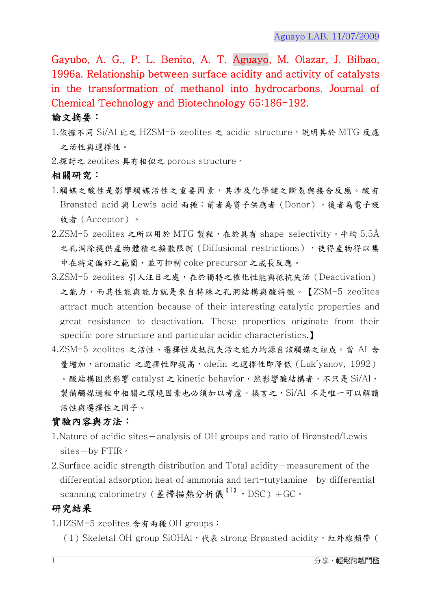Gayubo, A. G., P. L. Benito, A. T. Aguayo, M. Olazar, J. Bilbao, 1996a. Relationship between surface acidity and activity of catalysts in the transformation of methanol into hydrocarbons. Journal of Chemical Technology and Biotechnology 65:186-192.

## 論文摘要:

- 1.依據不同 Si/Al 比之 HZSM-5 zeolites 之 acidic structure,說明其於 MTG 反應 之活性與選擇性。
- 2.探討之 zeolites 具有相似之 porous structure。

## 相關研究:

- 1.觸媒之酸性是影響觸媒活性之重要因素,其涉及化學鍵之斷裂與接合反應。酸有 Brønsted acid 與 Lewis acid 兩種;前者為質子供應者(Donor),後者為電子吸 收者(Acceptor)。
- 2.ZSM-5 zeolites 之所以用於 MTG 製程,在於具有 shape selectivity。平均 5.5Å 之孔洞除提供產物體積之擴散限制(Diffusional restrictions),使得產物得以集 中在特定偏好之範圍,並可抑制 coke precursor 之成長反應。
- 3.ZSM-5 zeolites 引人注目之處,在於獨特之催化性能與抵抗失活 (Deactivation) 之能力,而其性能與能力就是來自特殊之孔洞結構與酸特徵。【ZSM-5 zeolites attract much attention because of their interesting catalytic properties and great resistance to deactivation. These properties originate from their specific pore structure and particular acidic characteristics.】
- 4.ZSM-5 zeolites 之活性、選擇性及抵抗失活之能力均源自該觸媒之組成。當 Al 含 量增加,aromatic 之選擇性即提高,olefin 之選擇性即降低(Luk'yanov, 1992) 。酸結構固然影響 catalyst 之 kinetic behavior,然影響酸結構者,不只是 Si/Al, 製備觸媒過程中相關之環境因素也必須加以考慮。換言之,Si/Al 不是唯一可以解讀 活性與選擇性之因子。

## 實驗內容與方法:

- 1.Nature of acidic sites-analysis of OH groups and ratio of Brønsted/Lewis sites-by FTIR。
- 2.Surface acidic strength distribution and Total acidity-measurement of the differential adsorption heat of ammonia and tert-tutylamine-by differential scanning calorimetry (差掃描熱分析儀<sup>【1】,</sup> DSC) +GC。

## 研究結果

1.HZSM-5 zeolites 含有兩種 OH groups:

(1) Skeletal OH group SiOHAl, 代表 strong Brønsted acidity,紅外線頻帶 (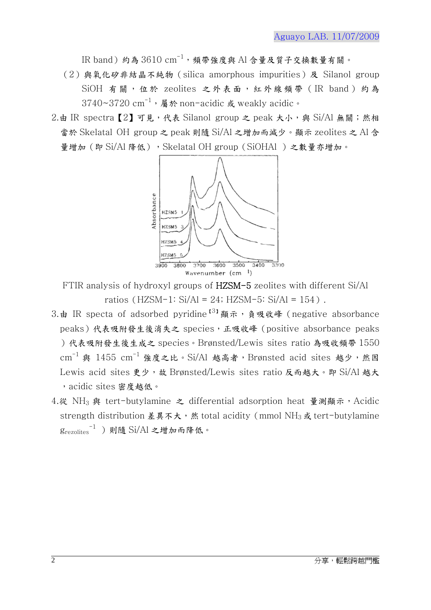IR band) 約為  $3610 \text{ cm}^{-1}$ , 頻帶強度與 Al 含量及質子交換數量有關。

- (2)與氧化矽非結晶不純物 (silica amorphous impurities)及 Silanol group SiOH 有關,位於 zeolites 之外表面,紅外線頻帶 (IR band) 約為  $3740 \sim 3720 \text{ cm}^{-1}$ , 屬於 non-acidic 或 weakly acidic。
- 2.由 IR spectra 【2】可見,代表 Silanol group 之 peak 大小,與 Si/Al 無關;然相 當於 Skelatal OH group 之 peak 則隨 Si/Al 之增加而減少。顯示 zeolites 之 Al 含 量增加 (即 Si/Al 降低), Skelatal OH group (SiOHAl ) 之數量亦增加。



FTIR analysis of hydroxyl groups of HZSM-5 zeolites with different Si/Al ratios (HZSM-1: Si/Al = 24; HZSM-5: Si/Al = 154).

- 3.由 IR specta of adsorbed pyridine<sup>[3]</sup> 顯示, 負吸收峰 (negative absorbance peaks)代表吸附發生後消失之 species,正吸收峰 (positive absorbance peaks )代表吸附發生後生成之 species。Brønsted/Lewis sites ratio 為吸收頻帶 1550  $cm^{-1}$  與 1455  $cm^{-1}$  強度之比。Si/Al 越高者,Brønsted acid sites 越少,然因 Lewis acid sites 更少, 故 Brønsted/Lewis sites ratio 反而越大。即 Si/Al 越大 ,acidic sites 密度越低。
- 4.從 NH<sub>3</sub> 與 tert-butylamine 之 differential adsorption heat 暈測顯示, Acidic strength distribution 差異不大, 然 total acidity (mmol NH<sub>3</sub>或 tert-butylamine  $g_{\text{recolites}}^{-1}$  ) 則隨 Si/Al 之增加而降低。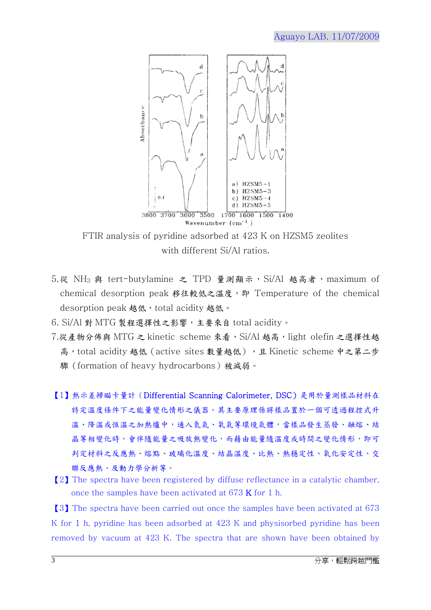

FTIR analysis of pyridine adsorbed at 423 K on HZSM5 zeolites with different Si/Al ratios.

- 5.從 NH<sub>3</sub> 與 tert-butylamine 之 TPD 量測顯示, Si/Al 越高者, maximum of chemical desorption peak 移往較低之溫度, 即 Temperature of the chemical desorption peak 越低, total acidity 越低。
- 6. Si/Al 對 MTG 製程選擇性之影響,主要來自 total acidity。
- 7.從產物分佈與 MTG 之 kinetic scheme 來看, Si/Al 越高, light olefin 之選擇性越 高, total acidity 越低 (active sites 數量越低), 且 Kinetic scheme 中之第二步 驟(formation of heavy hydrocarbons)被減弱。
- 【1】熱示差掃瞄卡量計(Differential Scanning Calorimeter, DSC)是用於量測樣品材料在 特定溫度條件下之能量變化情形之儀器。其主要原理係將樣品置於一個可透過程控式升 溫、降溫或恆溫之加熱爐中,通入氣氣、氧氣等環境氣體,當樣品發生蒸發、融熔、結 晶等相變化時,會伴隨能量之吸放熱變化,而藉由能量隨溫度或時間之變化情形,即可 判定材料之反應熱、熔點、玻璃化溫度、結晶溫度、比熱、熱穩定性、氧化安定性、交 聯反應熱、及動力學分析等。
- 【2】The spectra have been registered by diffuse reflectance in a catalytic chamber, once the samples have been activated at  $673 \text{ K}$  for 1 h.

【3】The spectra have been carried out once the samples have been activated at 673 K for 1 h, pyridine has been adsorbed at 423 K and physisorbed pyridine has been removed by vacuum at 423 K. The spectra that are shown have been obtained by